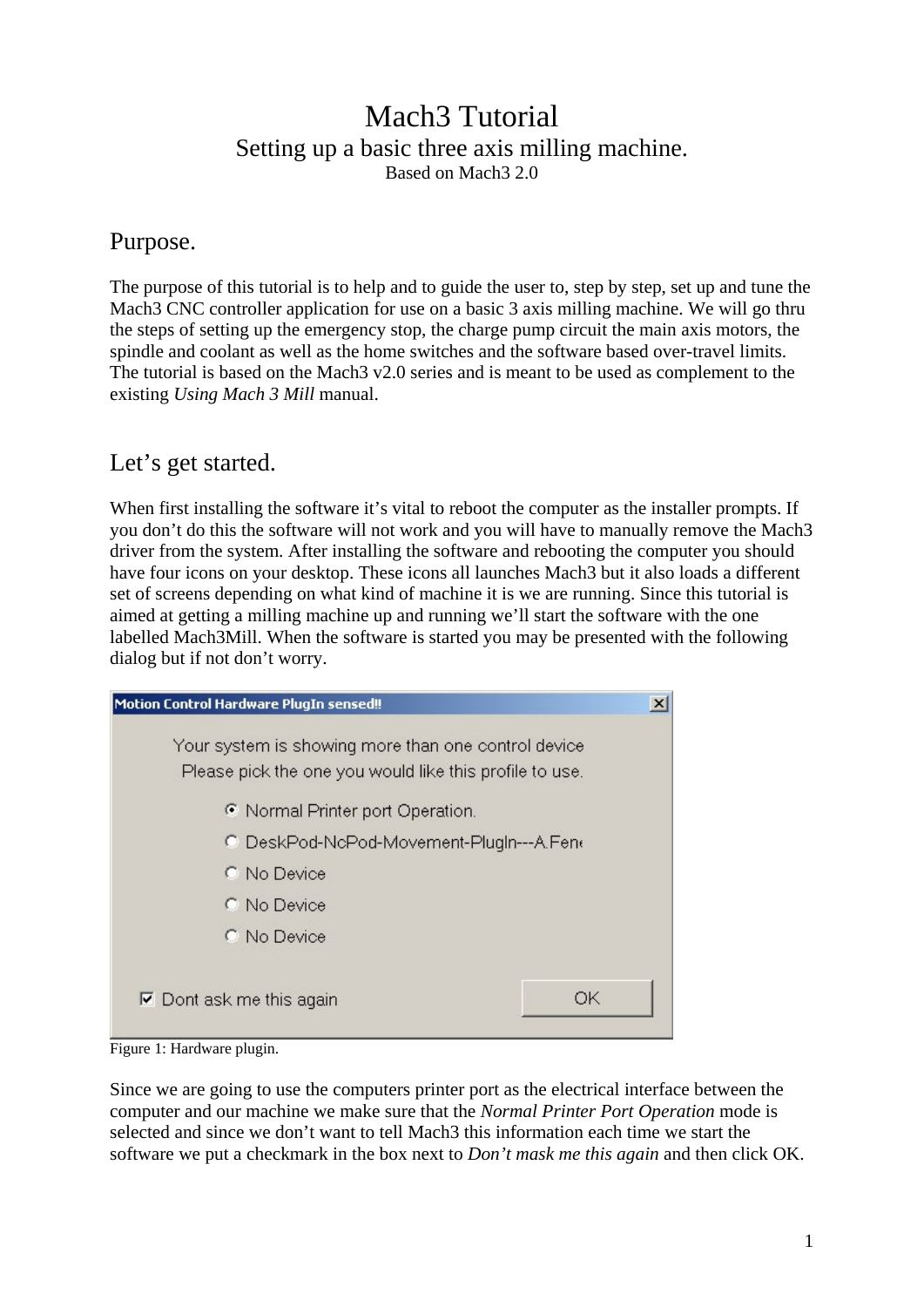# Mach3 Tutorial Setting up a basic three axis milling machine. Based on Mach3 2.0

#### Purpose.

The purpose of this tutorial is to help and to guide the user to, step by step, set up and tune the Mach3 CNC controller application for use on a basic 3 axis milling machine. We will go thru the steps of setting up the emergency stop, the charge pump circuit the main axis motors, the spindle and coolant as well as the home switches and the software based over-travel limits. The tutorial is based on the Mach3 v2.0 series and is meant to be used as complement to the existing *Using Mach 3 Mill* manual.

# Let's get started.

When first installing the software it's vital to reboot the computer as the installer prompts. If you don't do this the software will not work and you will have to manually remove the Mach3 driver from the system. After installing the software and rebooting the computer you should have four icons on your desktop. These icons all launches Mach3 but it also loads a different set of screens depending on what kind of machine it is we are running. Since this tutorial is aimed at getting a milling machine up and running we'll start the software with the one labelled Mach3Mill. When the software is started you may be presented with the following dialog but if not don't worry.

| Motion Control Hardware PlugIn sensed!!                                                                        | x  |
|----------------------------------------------------------------------------------------------------------------|----|
| Your system is showing more than one control device<br>Please pick the one you would like this profile to use. |    |
| • Normal Printer port Operation.                                                                               |    |
| C DeskPod-NcPod-Movement-PlugIn---A.Fene                                                                       |    |
| C. No Device                                                                                                   |    |
| C. No Device                                                                                                   |    |
| C No Device                                                                                                    |    |
| $\nabla$ Dont ask me this again                                                                                | OК |

Figure 1: Hardware plugin.

Since we are going to use the computers printer port as the electrical interface between the computer and our machine we make sure that the *Normal Printer Port Operation* mode is selected and since we don't want to tell Mach3 this information each time we start the software we put a checkmark in the box next to *Don't mask me this again* and then click OK.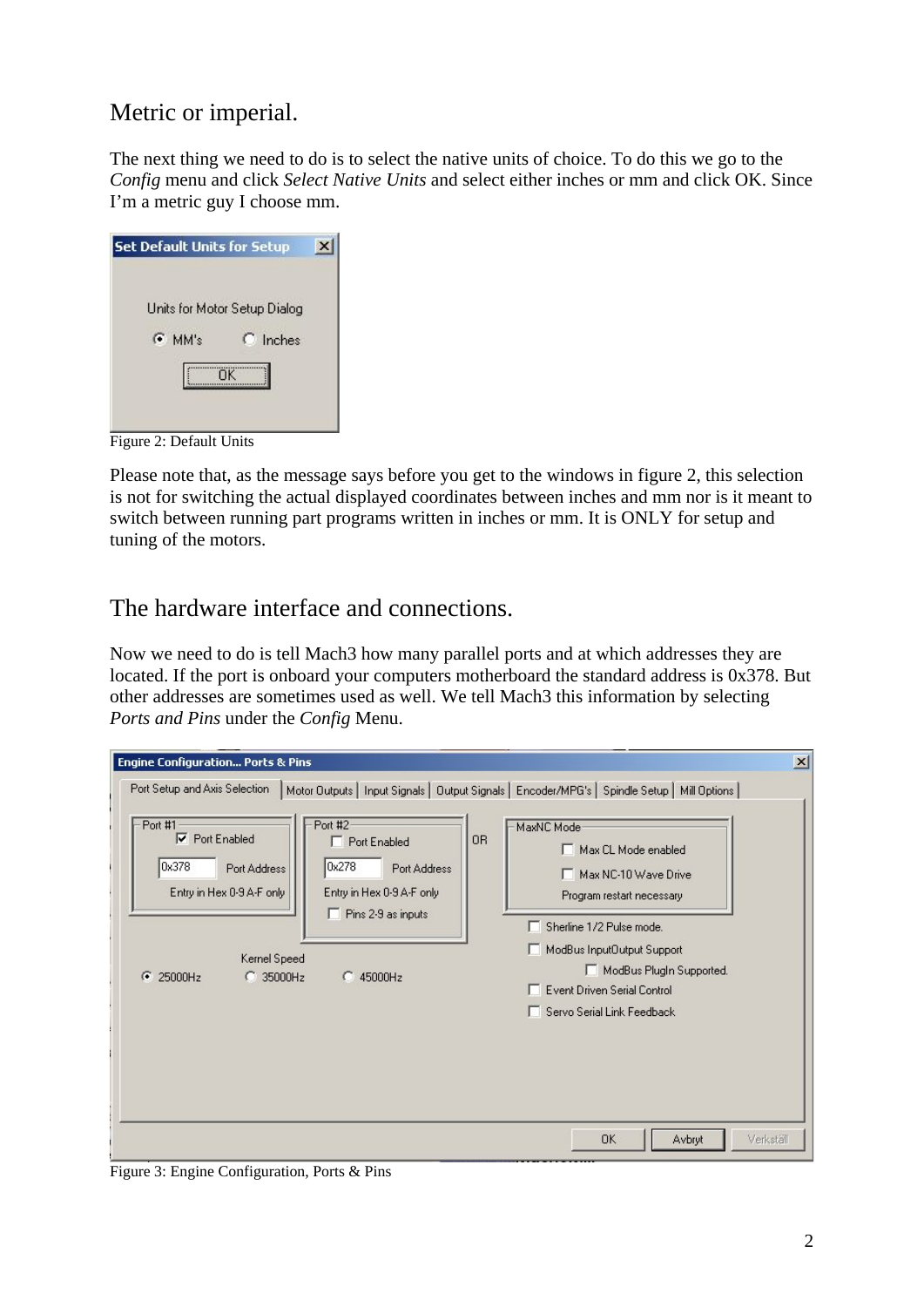# Metric or imperial.

The next thing we need to do is to select the native units of choice. To do this we go to the *Config* menu and click *Select Native Units* and select either inches or mm and click OK. Since I'm a metric guy I choose mm.

| <b>Set Default Units for Setup</b> |  |
|------------------------------------|--|
| Units for Motor Setup Dialog       |  |
| $C$ Inches<br>$\bullet$ MM's       |  |
| ΠK                                 |  |

Figure 2: Default Units

Please note that, as the message says before you get to the windows in figure 2, this selection is not for switching the actual displayed coordinates between inches and mm nor is it meant to switch between running part programs written in inches or mm. It is ONLY for setup and tuning of the motors.

## The hardware interface and connections.

Now we need to do is tell Mach3 how many parallel ports and at which addresses they are located. If the port is onboard your computers motherboard the standard address is 0x378. But other addresses are sometimes used as well. We tell Mach3 this information by selecting *Ports and Pins* under the *Config* Menu.

| <b>Engine Configuration Ports &amp; Pins</b>                                                                                                                                                                                                                                            | $\mathbf{x}$                                                                                                                                                                                                                                                                                                                                                                   |
|-----------------------------------------------------------------------------------------------------------------------------------------------------------------------------------------------------------------------------------------------------------------------------------------|--------------------------------------------------------------------------------------------------------------------------------------------------------------------------------------------------------------------------------------------------------------------------------------------------------------------------------------------------------------------------------|
| Port Setup and Axis Selection<br>Port #2<br>Port #1<br>⊽<br><b>Port Enabled</b><br>Port Enabled<br>0x378<br>0x278<br>Port Address<br>Entry in Hex 0-9 A-F only<br>Entry in Hex 0-9 A-F only<br>$\Box$ Pins 2-9 as inputs<br>Kernel Speed<br>G<br>$C$ 35000Hz<br>45000Hz<br>25000Hz<br>o | Motor Outputs   Input Signals   Output Signals   Encoder/MPG's   Spindle Setup   Mill Options  <br>MaxNC Mode<br>0 <sub>R</sub><br>Max CL Mode enabled<br>Port Address<br>Max NC-10 Wave Drive<br>Program restart necessary<br>Sherline 1/2 Pulse mode.<br>ModBus InputDutput Support<br>ModBus PlugIn Supported.<br>Event Driven Serial Control<br>Servo Serial Link Feedback |
|                                                                                                                                                                                                                                                                                         | <b>OK</b><br>Avbryt<br>Verkställ                                                                                                                                                                                                                                                                                                                                               |

Figure 3: Engine Configuration, Ports & Pins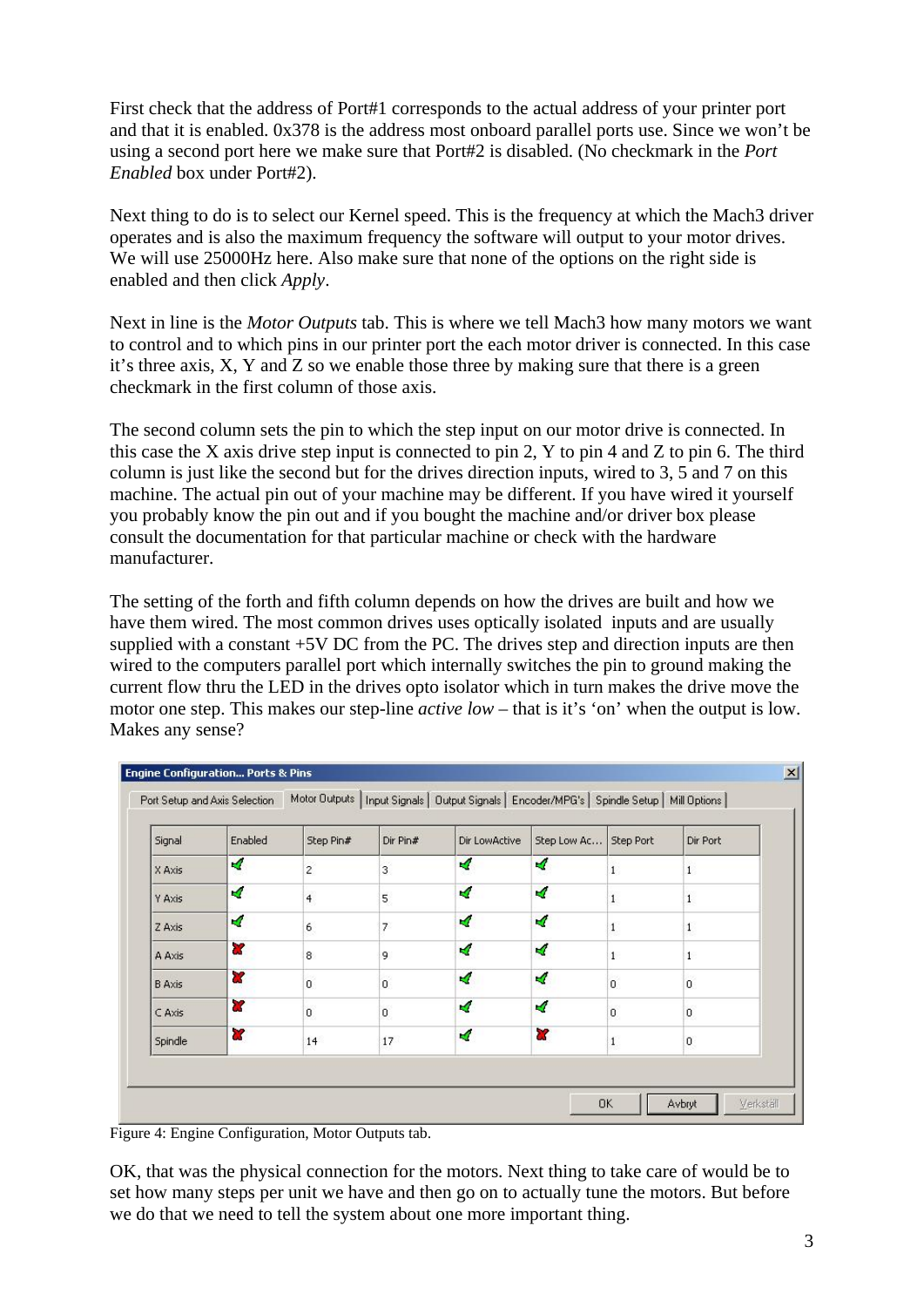First check that the address of Port#1 corresponds to the actual address of your printer port and that it is enabled. 0x378 is the address most onboard parallel ports use. Since we won't be using a second port here we make sure that Port#2 is disabled. (No checkmark in the *Port Enabled* box under Port#2).

Next thing to do is to select our Kernel speed. This is the frequency at which the Mach3 driver operates and is also the maximum frequency the software will output to your motor drives. We will use 25000Hz here. Also make sure that none of the options on the right side is enabled and then click *Apply*.

Next in line is the *Motor Outputs* tab. This is where we tell Mach3 how many motors we want to control and to which pins in our printer port the each motor driver is connected. In this case it's three axis, X, Y and Z so we enable those three by making sure that there is a green checkmark in the first column of those axis.

The second column sets the pin to which the step input on our motor drive is connected. In this case the X axis drive step input is connected to pin 2, Y to pin 4 and Z to pin 6. The third column is just like the second but for the drives direction inputs, wired to 3, 5 and 7 on this machine. The actual pin out of your machine may be different. If you have wired it yourself you probably know the pin out and if you bought the machine and/or driver box please consult the documentation for that particular machine or check with the hardware manufacturer.

The setting of the forth and fifth column depends on how the drives are built and how we have them wired. The most common drives uses optically isolated inputs and are usually supplied with a constant +5V DC from the PC. The drives step and direction inputs are then wired to the computers parallel port which internally switches the pin to ground making the current flow thru the LED in the drives opto isolator which in turn makes the drive move the motor one step. This makes our step-line *active low* – that is it's 'on' when the output is low. Makes any sense?

| Signal        | Enabled                 | Step Pin#      | Dir Pin#                | Dir LowActive | Step Low Ac      | Step Port    | Dir Port         |
|---------------|-------------------------|----------------|-------------------------|---------------|------------------|--------------|------------------|
| X Axis        | ×,                      | $\overline{2}$ | $\overline{\mathbf{3}}$ | ×,            | $\sigma$         | $\mathbf{1}$ | $\mathbf{1}$     |
| Y Axis        | ×,                      | $\overline{4}$ | 5                       | ×,            | 4                | $\mathbf{1}$ | $\mathbf{1}$     |
| Z Axis        | ×,                      | $\mathbf{6}$   | 7                       | ×,            | ×,               | $\mathbf{1}$ | $1\,$            |
| A Axis        | æ                       | 8              | 9                       | $\sigma$      | ₫                | $\mathbf{1}$ | $\mathbf{1}$     |
| <b>B</b> Axis | æ                       | $\overline{0}$ | o.                      | $\mathcal{A}$ | $\boldsymbol{q}$ | ö            | $\overline{0}$   |
| C Axis        | æ                       | $\mathbf{0}$   | o.                      | ×,            | ×,               | $\mathbf{0}$ | $\mathbf{0}$     |
| Spindle       | $\overline{\mathbf{x}}$ | 14             | 17                      | ×,            | 8Z               | $\mathbf{1}$ | $\boldsymbol{0}$ |

Figure 4: Engine Configuration, Motor Outputs tab.

OK, that was the physical connection for the motors. Next thing to take care of would be to set how many steps per unit we have and then go on to actually tune the motors. But before we do that we need to tell the system about one more important thing.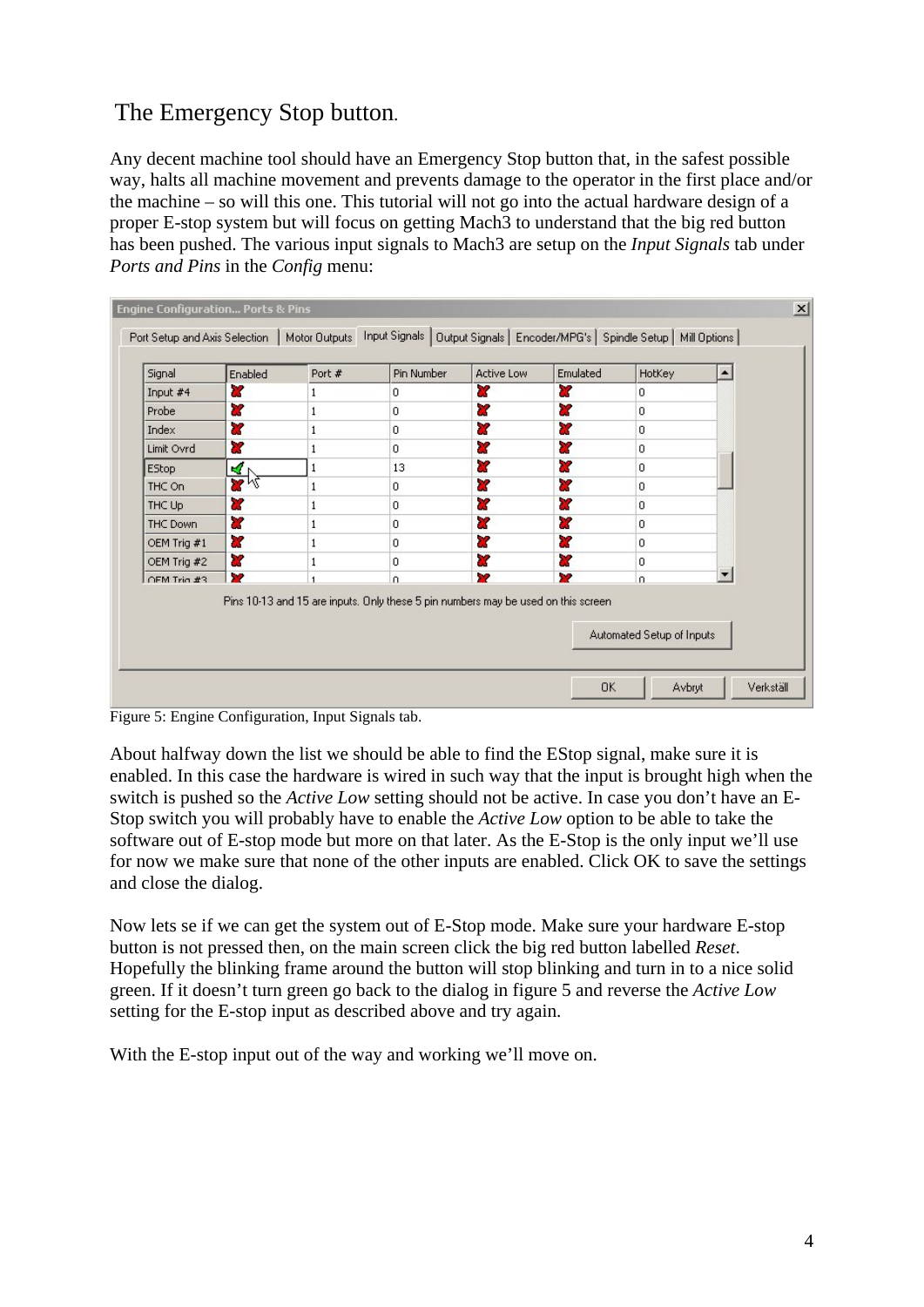# The Emergency Stop button.

Any decent machine tool should have an Emergency Stop button that, in the safest possible way, halts all machine movement and prevents damage to the operator in the first place and/or the machine – so will this one. This tutorial will not go into the actual hardware design of a proper E-stop system but will focus on getting Mach3 to understand that the big red button has been pushed. The various input signals to Mach3 are setup on the *Input Signals* tab under *Ports and Pins* in the *Config* menu:

| Signal          | Enabled            | Port # | Pin Number                                                                        | Active Low | Emulated | HotKey                    | $\blacktriangle$ |
|-----------------|--------------------|--------|-----------------------------------------------------------------------------------|------------|----------|---------------------------|------------------|
| Input $#4$      | 83                 | 1      | 0                                                                                 | æ          | X        | 0                         |                  |
| Probe           | æ                  |        | $\overline{0}$                                                                    | X          | 83       | $\mathbf{0}$              |                  |
| Index           | æ                  |        | $\overline{0}$                                                                    | æ          | X        | 0                         |                  |
| Limit Ovrd      | U.                 |        | 0                                                                                 | X          | 87       | l0.                       |                  |
| <b>EStop</b>    | ⊻                  |        | 13                                                                                | æ          | x        | lo.                       |                  |
| THC On          | $\mathbf{z}_{\mu}$ |        | 0                                                                                 | 22         | Y        | l0.                       |                  |
| THC Up          | æ                  |        | 0                                                                                 | æ          | U.       | 0                         |                  |
| <b>THC Down</b> | <b>Z</b>           | 1      | 0                                                                                 | 27         | X        | o                         |                  |
| OEM Trig #1     | X                  |        | 0                                                                                 | æ          | æ        | $\mathbf{0}$              |                  |
| OEM Trig #2     | æ                  |        | $\overline{0}$                                                                    | 22         | 83       | 0                         |                  |
| OFM Trin #3     | 32                 | f,     | $\Omega$                                                                          | ×          | 22       | $\Omega$                  |                  |
|                 |                    |        | Pins 10-13 and 15 are inputs. Only these 5 pin numbers may be used on this screen |            |          | Automated Setup of Inputs |                  |

Figure 5: Engine Configuration, Input Signals tab.

About halfway down the list we should be able to find the EStop signal, make sure it is enabled. In this case the hardware is wired in such way that the input is brought high when the switch is pushed so the *Active Low* setting should not be active. In case you don't have an E-Stop switch you will probably have to enable the *Active Low* option to be able to take the software out of E-stop mode but more on that later. As the E-Stop is the only input we'll use for now we make sure that none of the other inputs are enabled. Click OK to save the settings and close the dialog.

Now lets se if we can get the system out of E-Stop mode. Make sure your hardware E-stop button is not pressed then, on the main screen click the big red button labelled *Reset*. Hopefully the blinking frame around the button will stop blinking and turn in to a nice solid green. If it doesn't turn green go back to the dialog in figure 5 and reverse the *Active Low* setting for the E-stop input as described above and try again.

With the E-stop input out of the way and working we'll move on.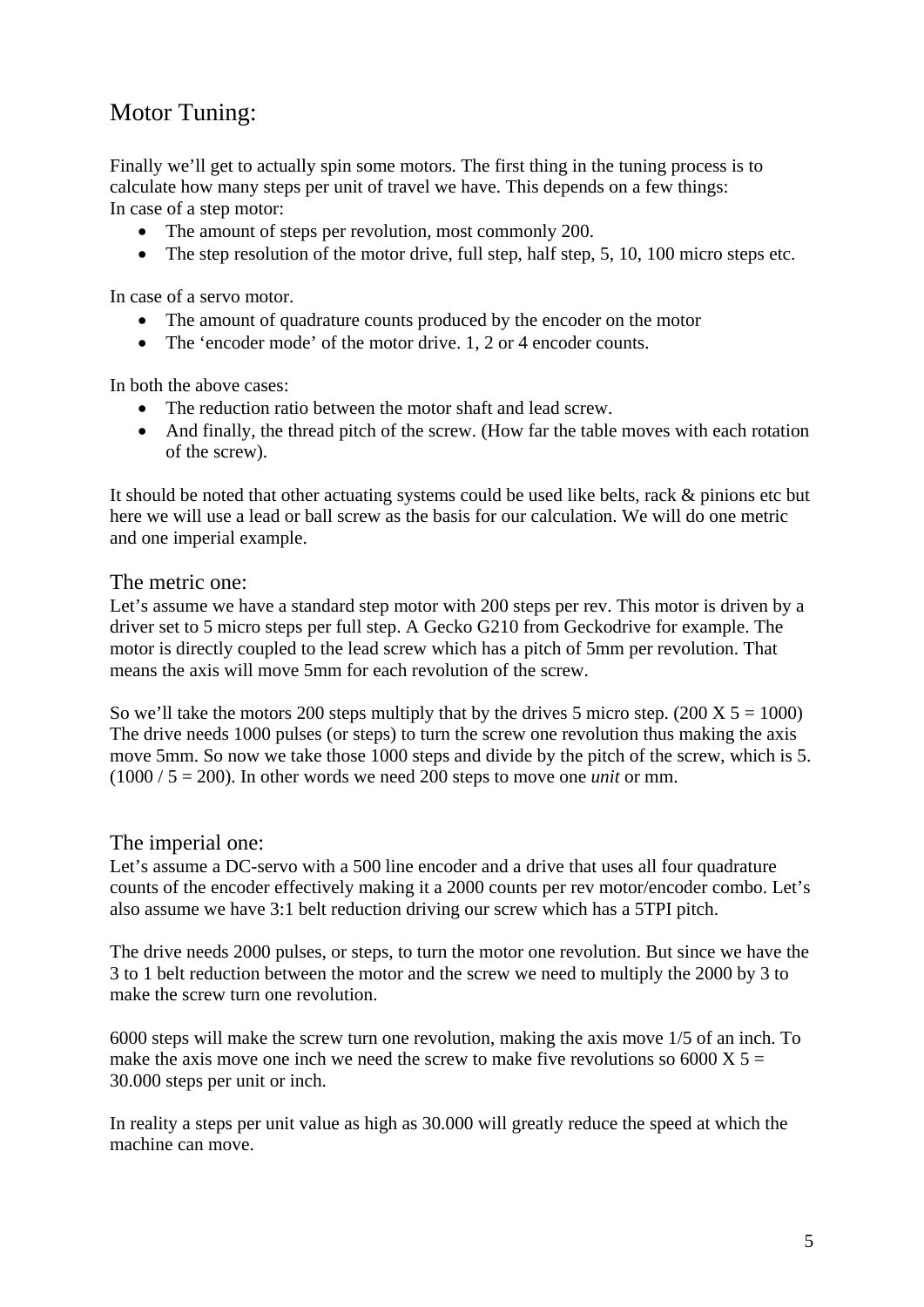# Motor Tuning:

Finally we'll get to actually spin some motors. The first thing in the tuning process is to calculate how many steps per unit of travel we have. This depends on a few things: In case of a step motor:

- The amount of steps per revolution, most commonly 200.
- The step resolution of the motor drive, full step, half step, 5, 10, 100 micro steps etc.

In case of a servo motor.

- The amount of quadrature counts produced by the encoder on the motor
- The 'encoder mode' of the motor drive. 1, 2 or 4 encoder counts.

In both the above cases:

- The reduction ratio between the motor shaft and lead screw.
- And finally, the thread pitch of the screw. (How far the table moves with each rotation of the screw).

It should be noted that other actuating systems could be used like belts, rack & pinions etc but here we will use a lead or ball screw as the basis for our calculation. We will do one metric and one imperial example.

The metric one:

Let's assume we have a standard step motor with 200 steps per rev. This motor is driven by a driver set to 5 micro steps per full step. A Gecko G210 from Geckodrive for example. The motor is directly coupled to the lead screw which has a pitch of 5mm per revolution. That means the axis will move 5mm for each revolution of the screw.

So we'll take the motors 200 steps multiply that by the drives 5 micro step.  $(200 \text{ X } 5 = 1000)$ The drive needs 1000 pulses (or steps) to turn the screw one revolution thus making the axis move 5mm. So now we take those 1000 steps and divide by the pitch of the screw, which is 5.  $(1000 / 5 = 200)$ . In other words we need 200 steps to move one *unit* or mm.

#### The imperial one:

Let's assume a DC-servo with a 500 line encoder and a drive that uses all four quadrature counts of the encoder effectively making it a 2000 counts per rev motor/encoder combo. Let's also assume we have 3:1 belt reduction driving our screw which has a 5TPI pitch.

The drive needs 2000 pulses, or steps, to turn the motor one revolution. But since we have the 3 to 1 belt reduction between the motor and the screw we need to multiply the 2000 by 3 to make the screw turn one revolution.

6000 steps will make the screw turn one revolution, making the axis move 1/5 of an inch. To make the axis move one inch we need the screw to make five revolutions so  $6000 \text{ X } 5 =$ 30.000 steps per unit or inch.

In reality a steps per unit value as high as 30.000 will greatly reduce the speed at which the machine can move.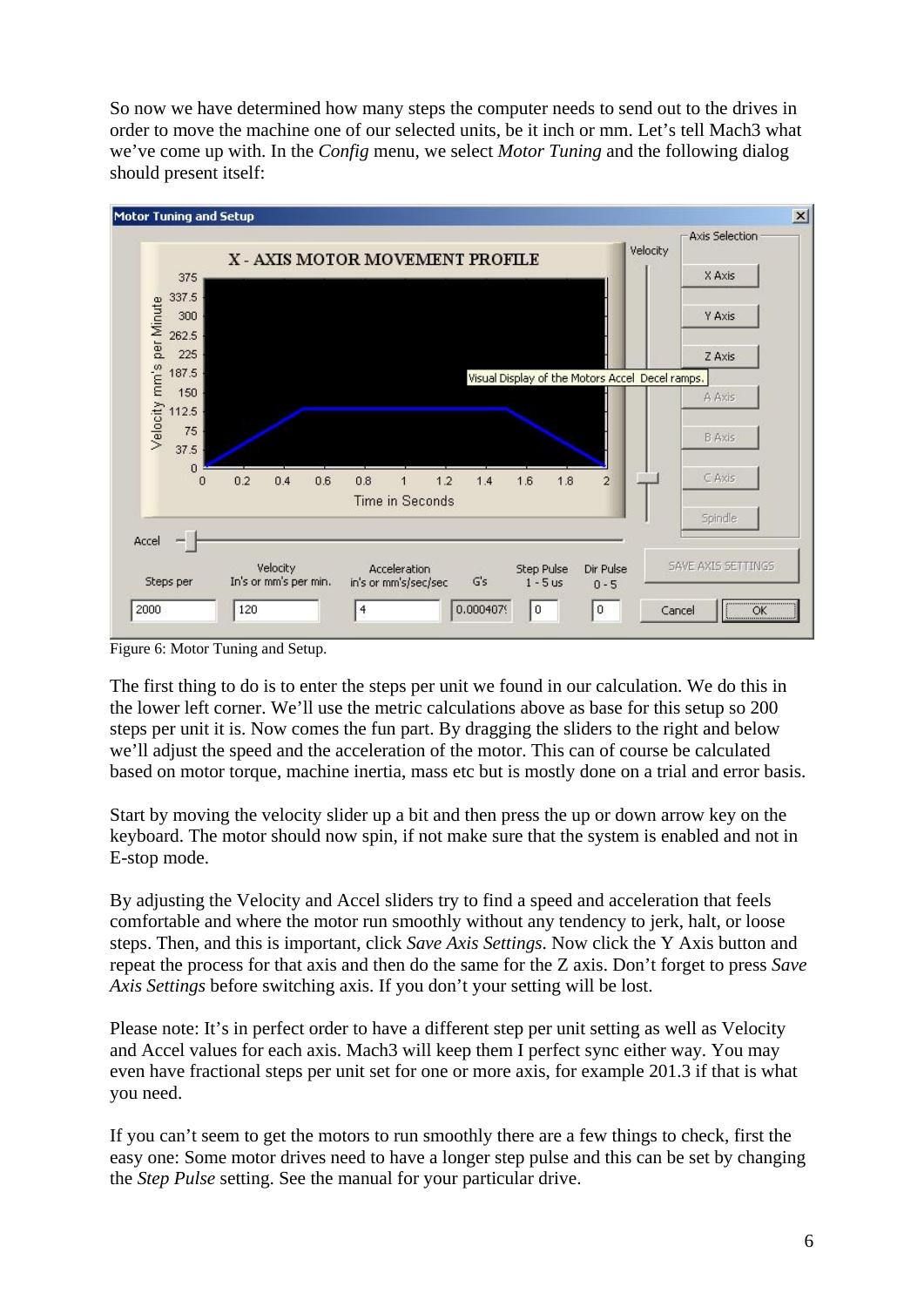So now we have determined how many steps the computer needs to send out to the drives in order to move the machine one of our selected units, be it inch or mm. Let's tell Mach3 what we've come up with. In the *Config* menu, we select *Motor Tuning* and the following dialog should present itself:



Figure 6: Motor Tuning and Setup.

The first thing to do is to enter the steps per unit we found in our calculation. We do this in the lower left corner. We'll use the metric calculations above as base for this setup so 200 steps per unit it is. Now comes the fun part. By dragging the sliders to the right and below we'll adjust the speed and the acceleration of the motor. This can of course be calculated based on motor torque, machine inertia, mass etc but is mostly done on a trial and error basis.

Start by moving the velocity slider up a bit and then press the up or down arrow key on the keyboard. The motor should now spin, if not make sure that the system is enabled and not in E-stop mode.

By adjusting the Velocity and Accel sliders try to find a speed and acceleration that feels comfortable and where the motor run smoothly without any tendency to jerk, halt, or loose steps. Then, and this is important, click *Save Axis Settings*. Now click the Y Axis button and repeat the process for that axis and then do the same for the Z axis. Don't forget to press *Save Axis Settings* before switching axis. If you don't your setting will be lost.

Please note: It's in perfect order to have a different step per unit setting as well as Velocity and Accel values for each axis. Mach3 will keep them I perfect sync either way. You may even have fractional steps per unit set for one or more axis, for example 201.3 if that is what you need.

If you can't seem to get the motors to run smoothly there are a few things to check, first the easy one: Some motor drives need to have a longer step pulse and this can be set by changing the *Step Pulse* setting. See the manual for your particular drive.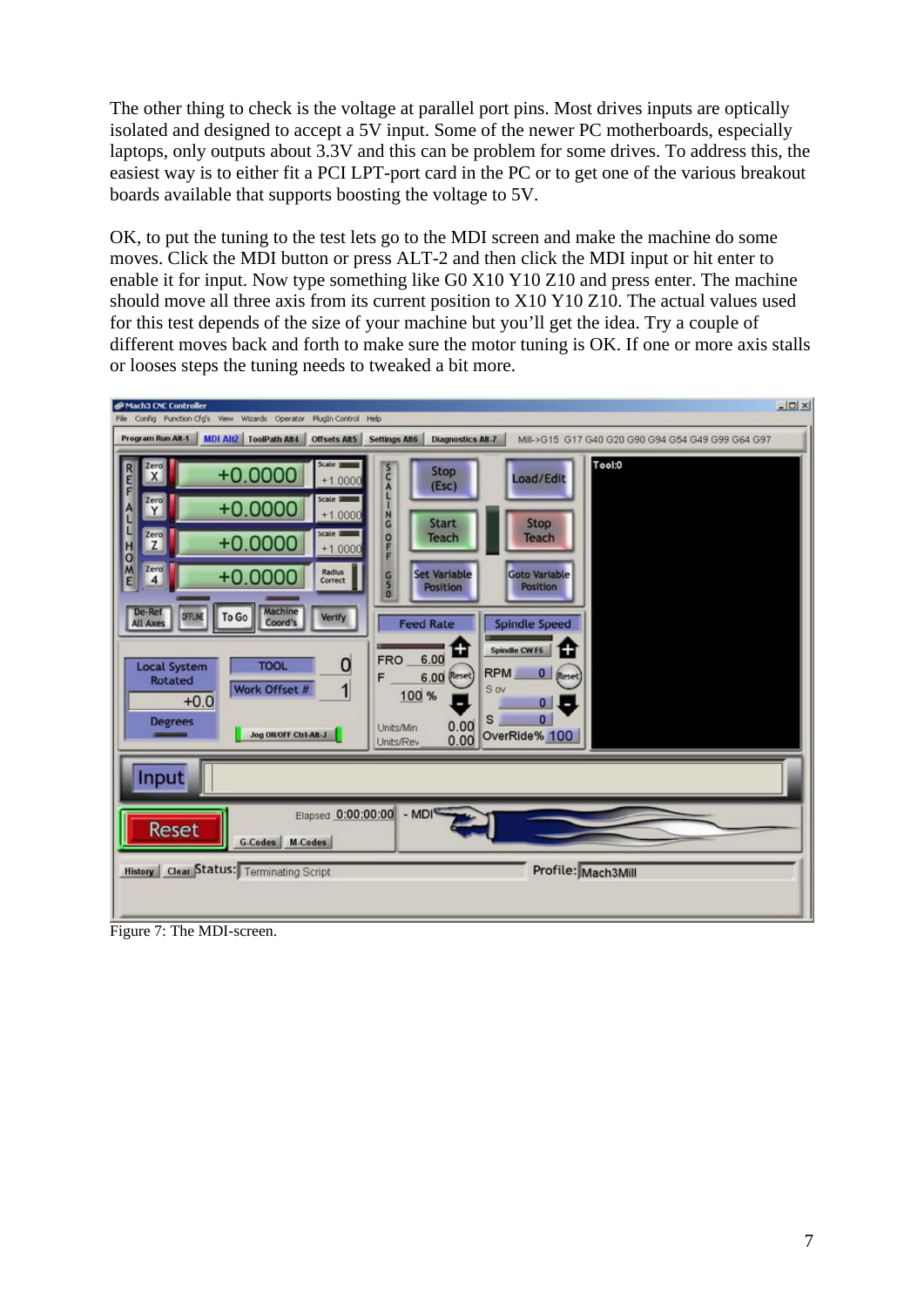The other thing to check is the voltage at parallel port pins. Most drives inputs are optically isolated and designed to accept a 5V input. Some of the newer PC motherboards, especially laptops, only outputs about 3.3V and this can be problem for some drives. To address this, the easiest way is to either fit a PCI LPT-port card in the PC or to get one of the various breakout boards available that supports boosting the voltage to 5V.

OK, to put the tuning to the test lets go to the MDI screen and make the machine do some moves. Click the MDI button or press ALT-2 and then click the MDI input or hit enter to enable it for input. Now type something like G0 X10 Y10 Z10 and press enter. The machine should move all three axis from its current position to X10 Y10 Z10. The actual values used for this test depends of the size of your machine but you'll get the idea. Try a couple of different moves back and forth to make sure the motor tuning is OK. If one or more axis stalls or looses steps the tuning needs to tweaked a bit more.



Figure 7: The MDI-screen.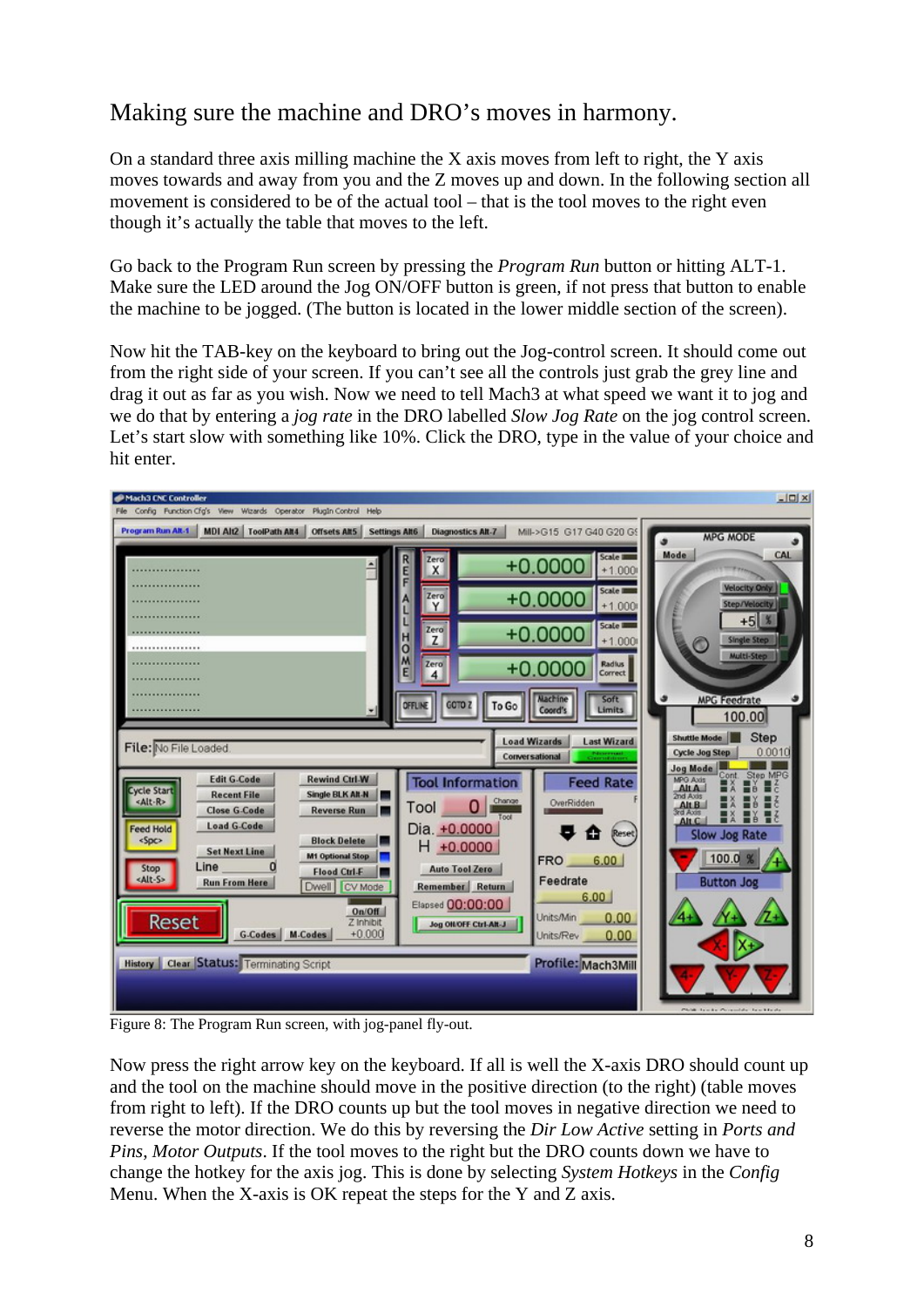# Making sure the machine and DRO's moves in harmony.

On a standard three axis milling machine the  $X$  axis moves from left to right, the  $Y$  axis moves towards and away from you and the Z moves up and down. In the following section all movement is considered to be of the actual tool – that is the tool moves to the right even though it's actually the table that moves to the left.

Go back to the Program Run screen by pressing the *Program Run* button or hitting ALT-1. Make sure the LED around the Jog ON/OFF button is green, if not press that button to enable the machine to be jogged. (The button is located in the lower middle section of the screen).

Now hit the TAB-key on the keyboard to bring out the Jog-control screen. It should come out from the right side of your screen. If you can't see all the controls just grab the grey line and drag it out as far as you wish. Now we need to tell Mach3 at what speed we want it to jog and we do that by entering a *jog rate* in the DRO labelled *Slow Jog Rate* on the jog control screen. Let's start slow with something like 10%. Click the DRO, type in the value of your choice and hit enter.



Figure 8: The Program Run screen, with jog-panel fly-out.

Now press the right arrow key on the keyboard. If all is well the X-axis DRO should count up and the tool on the machine should move in the positive direction (to the right) (table moves from right to left). If the DRO counts up but the tool moves in negative direction we need to reverse the motor direction. We do this by reversing the *Dir Low Active* setting in *Ports and Pins*, *Motor Outputs*. If the tool moves to the right but the DRO counts down we have to change the hotkey for the axis jog. This is done by selecting *System Hotkeys* in the *Config* Menu. When the X-axis is OK repeat the steps for the Y and Z axis.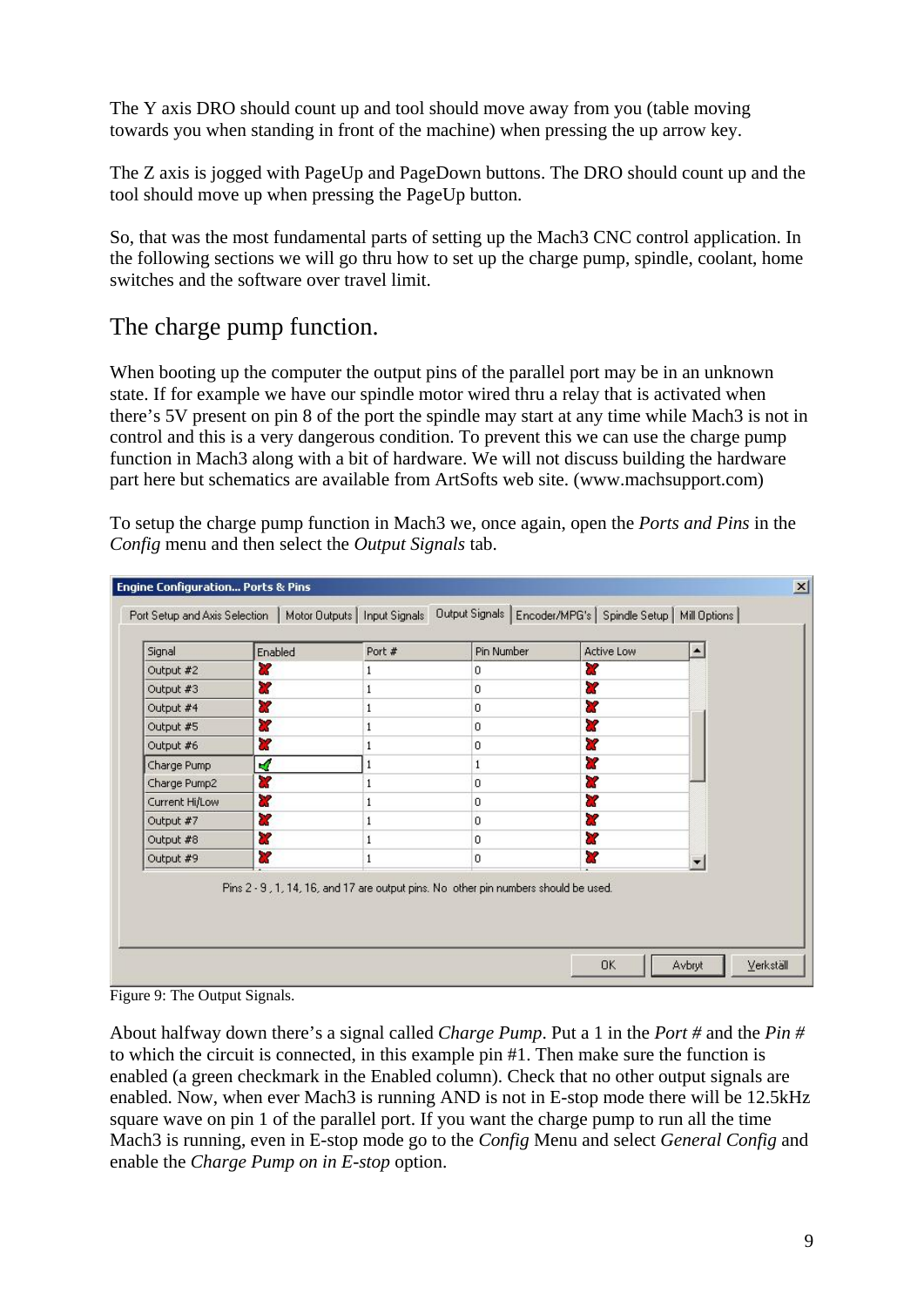The Y axis DRO should count up and tool should move away from you (table moving towards you when standing in front of the machine) when pressing the up arrow key.

The Z axis is jogged with PageUp and PageDown buttons. The DRO should count up and the tool should move up when pressing the PageUp button.

So, that was the most fundamental parts of setting up the Mach3 CNC control application. In the following sections we will go thru how to set up the charge pump, spindle, coolant, home switches and the software over travel limit.

## The charge pump function.

When booting up the computer the output pins of the parallel port may be in an unknown state. If for example we have our spindle motor wired thru a relay that is activated when there's 5V present on pin 8 of the port the spindle may start at any time while Mach3 is not in control and this is a very dangerous condition. To prevent this we can use the charge pump function in Mach3 along with a bit of hardware. We will not discuss building the hardware part here but schematics are available from ArtSofts web site. (www.machsupport.com)

To setup the charge pump function in Mach3 we, once again, open the *Ports and Pins* in the *Config* menu and then select the *Output Signals* tab.

| Signal         | Enabled | Port # | Pin Number                                                                          | Active Low |  |
|----------------|---------|--------|-------------------------------------------------------------------------------------|------------|--|
| Output #2      | U       |        | 0                                                                                   | x          |  |
| Output #3      | 83      |        | $\Omega$                                                                            | ď          |  |
| Output #4      | 87      | 1      | $\Omega$                                                                            | X          |  |
| Output #5      | U.      | 1      | $\overline{0}$                                                                      | U.         |  |
| Output #6      | a       |        | 0                                                                                   | <b>X</b>   |  |
| Charge Pump    | A       |        | 1                                                                                   | Y          |  |
| Charge Pump2   | 87      |        | $\Omega$                                                                            | ď          |  |
| Current Hi/Low | 83      |        | $\mathbf 0$                                                                         | 83         |  |
| Output #7      | ×       |        | 0                                                                                   | X          |  |
| Output #8      | æ       |        | $\mathbf{0}$                                                                        | X          |  |
| Output #9      | æ       | 1      | $\Omega$                                                                            | x          |  |
|                |         |        | Pins 2 - 9, 1, 14, 16, and 17 are output pins. No other pin numbers should be used. |            |  |
|                |         |        |                                                                                     |            |  |

Figure 9: The Output Signals.

About halfway down there's a signal called *Charge Pump*. Put a 1 in the *Port #* and the *Pin #* to which the circuit is connected, in this example pin #1. Then make sure the function is enabled (a green checkmark in the Enabled column). Check that no other output signals are enabled. Now, when ever Mach3 is running AND is not in E-stop mode there will be 12.5kHz square wave on pin 1 of the parallel port. If you want the charge pump to run all the time Mach3 is running, even in E-stop mode go to the *Config* Menu and select *General Config* and enable the *Charge Pump on in E-stop* option.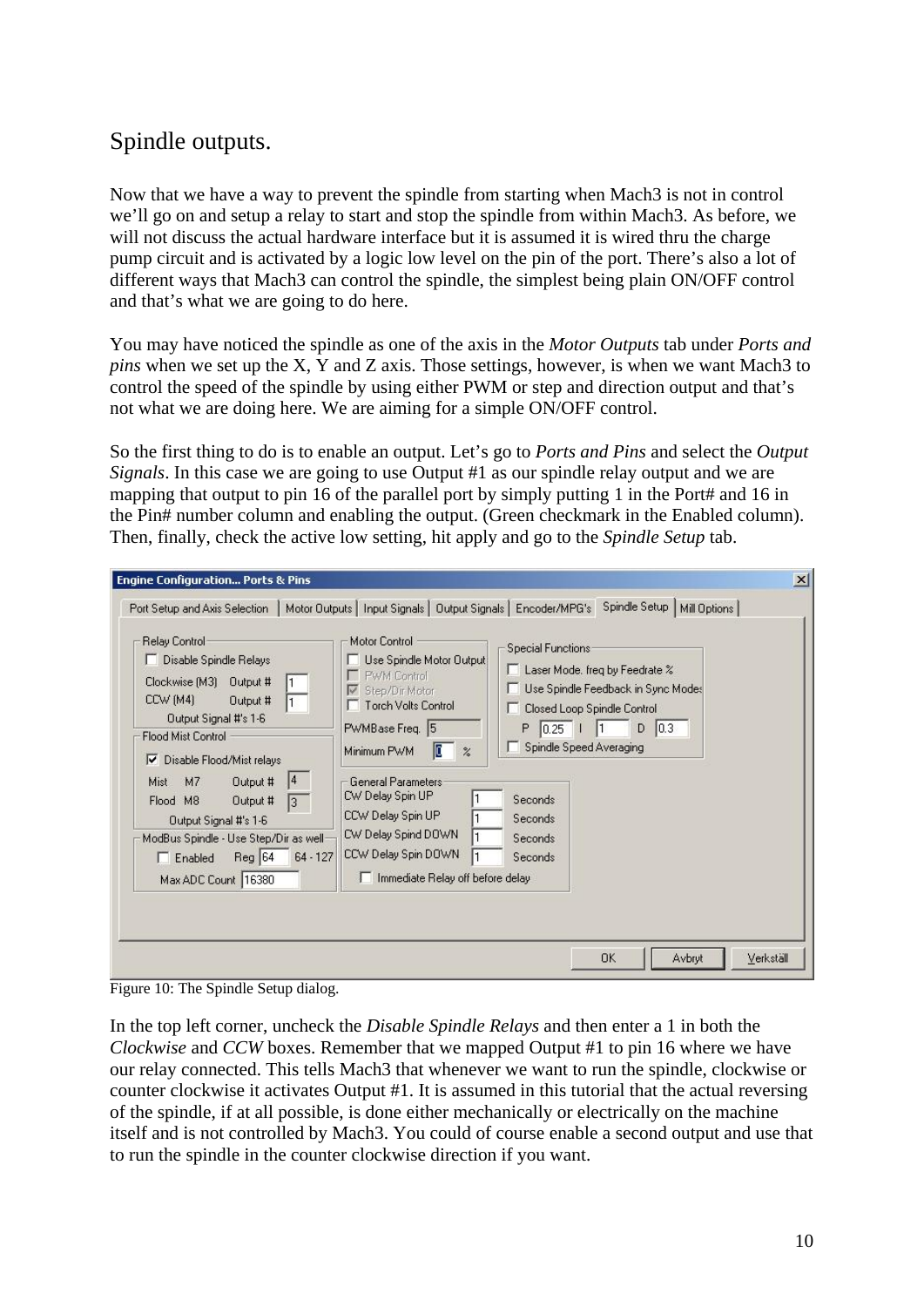# Spindle outputs.

Now that we have a way to prevent the spindle from starting when Mach3 is not in control we'll go on and setup a relay to start and stop the spindle from within Mach3. As before, we will not discuss the actual hardware interface but it is assumed it is wired thru the charge pump circuit and is activated by a logic low level on the pin of the port. There's also a lot of different ways that Mach3 can control the spindle, the simplest being plain ON/OFF control and that's what we are going to do here.

You may have noticed the spindle as one of the axis in the *Motor Outputs* tab under *Ports and pins* when we set up the X, Y and Z axis. Those settings, however, is when we want Mach3 to control the speed of the spindle by using either PWM or step and direction output and that's not what we are doing here. We are aiming for a simple ON/OFF control.

So the first thing to do is to enable an output. Let's go to *Ports and Pins* and select the *Output Signals*. In this case we are going to use Output #1 as our spindle relay output and we are mapping that output to pin 16 of the parallel port by simply putting 1 in the Port# and 16 in the Pin# number column and enabling the output. (Green checkmark in the Enabled column). Then, finally, check the active low setting, hit apply and go to the *Spindle Setup* tab.

| Port Setup and Axis Selection                                                                                                                                                                                                                                                                                                                                                                         | Motor Outputs   Input Signals   Output Signals   Encoder/MPG's Spindle Setup  <br>Mill Options                                                                                                                                                                                                                                                                                                                                                                                                                                                                     |
|-------------------------------------------------------------------------------------------------------------------------------------------------------------------------------------------------------------------------------------------------------------------------------------------------------------------------------------------------------------------------------------------------------|--------------------------------------------------------------------------------------------------------------------------------------------------------------------------------------------------------------------------------------------------------------------------------------------------------------------------------------------------------------------------------------------------------------------------------------------------------------------------------------------------------------------------------------------------------------------|
| Relay Control<br>Disable Spindle Relays<br>Clockwise [M3] Output #<br>CCW (M4)<br>Output #<br>$\mathbf{1}$<br>Output Signal #'s 1-6<br><b>Flood Mist Control</b><br>Disable Flood/Mist relays<br>⊽<br> 4<br>Output #<br>M <sub>7</sub><br>Mist<br>Flood M8<br>Output #<br>13.<br>Output Signal #'s 1-6<br>ModBus Spindle - Use Step/Dir as well-<br>$Reg$ 64<br>$\Box$ Enabled<br>Max ADC Count 16380 | Motor Control<br>Special Functions<br>Use Spindle Motor Output<br>Laser Mode, freq by Feedrate %<br>PWM Control<br>Use Spindle Feedback in Sync Modes<br>Step/Dir Motor<br>V<br><b>Torch Volts Control</b><br>Closed Loop Spindle Control<br>D<br> 0.3 <br>PWMBase Freq. 5<br>P<br> 0.25 <br>Spindle Speed Averaging<br>Œ<br>Minimum PWM<br>$\%$<br>General Parameters<br>CW Delay Spin UP<br>Seconds<br>CCW Delay Spin UP<br>Seconds<br>CW Delay Spind DOWN<br>Seconds<br>CCW Delay Spin DOWN<br>$64 - 127$<br><b>Seconds</b><br>Immediate Relay off before delay |

Figure 10: The Spindle Setup dialog.

In the top left corner, uncheck the *Disable Spindle Relays* and then enter a 1 in both the *Clockwise* and *CCW* boxes. Remember that we mapped Output #1 to pin 16 where we have our relay connected. This tells Mach3 that whenever we want to run the spindle, clockwise or counter clockwise it activates Output #1. It is assumed in this tutorial that the actual reversing of the spindle, if at all possible, is done either mechanically or electrically on the machine itself and is not controlled by Mach3. You could of course enable a second output and use that to run the spindle in the counter clockwise direction if you want.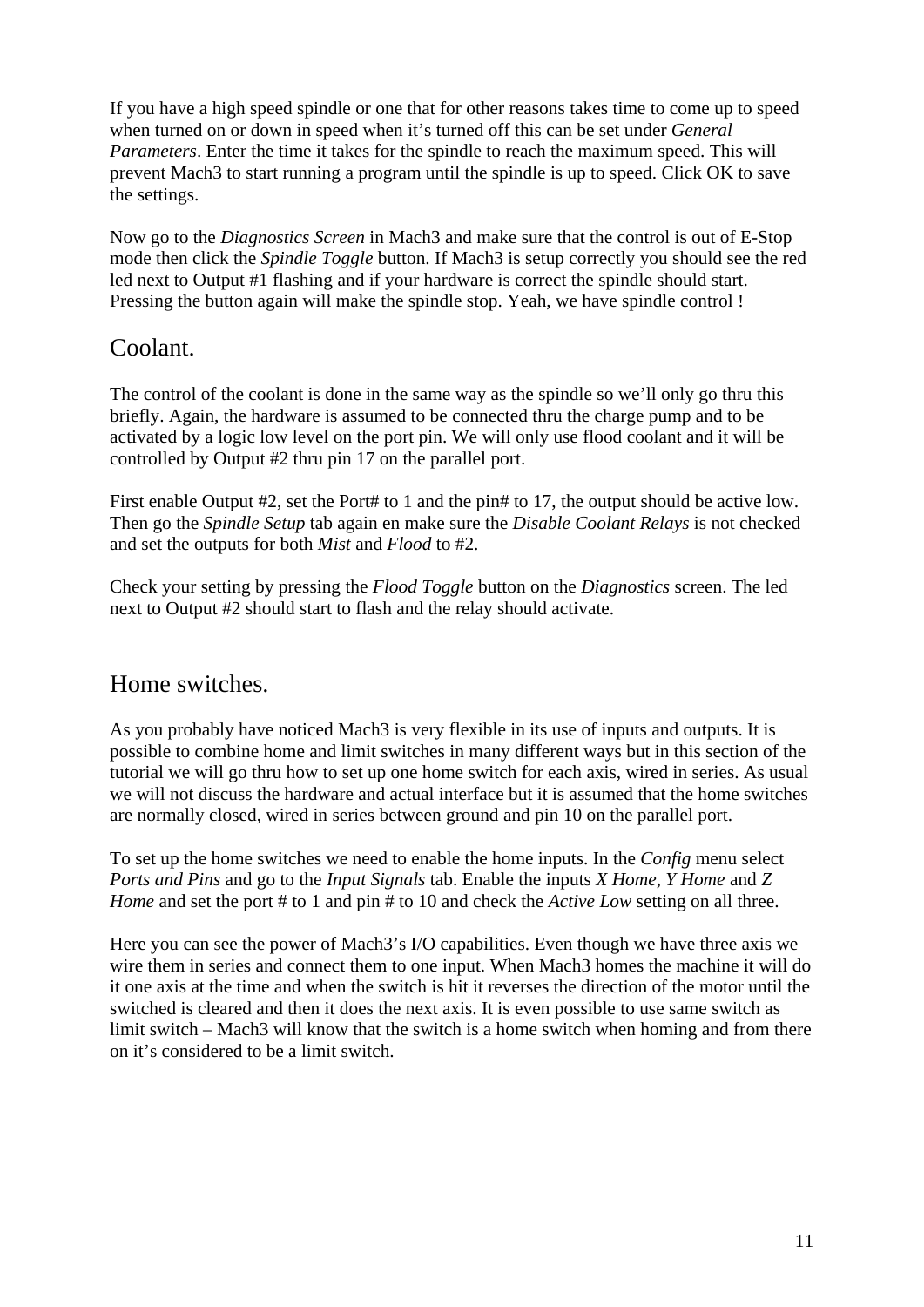If you have a high speed spindle or one that for other reasons takes time to come up to speed when turned on or down in speed when it's turned off this can be set under *General Parameters*. Enter the time it takes for the spindle to reach the maximum speed. This will prevent Mach3 to start running a program until the spindle is up to speed. Click OK to save the settings.

Now go to the *Diagnostics Screen* in Mach3 and make sure that the control is out of E-Stop mode then click the *Spindle Toggle* button. If Mach3 is setup correctly you should see the red led next to Output #1 flashing and if your hardware is correct the spindle should start. Pressing the button again will make the spindle stop. Yeah, we have spindle control !

## Coolant.

The control of the coolant is done in the same way as the spindle so we'll only go thru this briefly. Again, the hardware is assumed to be connected thru the charge pump and to be activated by a logic low level on the port pin. We will only use flood coolant and it will be controlled by Output #2 thru pin 17 on the parallel port.

First enable Output #2, set the Port# to 1 and the pin# to 17, the output should be active low. Then go the *Spindle Setup* tab again en make sure the *Disable Coolant Relays* is not checked and set the outputs for both *Mist* and *Flood* to #2.

Check your setting by pressing the *Flood Toggle* button on the *Diagnostics* screen. The led next to Output #2 should start to flash and the relay should activate.

## Home switches.

As you probably have noticed Mach3 is very flexible in its use of inputs and outputs. It is possible to combine home and limit switches in many different ways but in this section of the tutorial we will go thru how to set up one home switch for each axis, wired in series. As usual we will not discuss the hardware and actual interface but it is assumed that the home switches are normally closed, wired in series between ground and pin 10 on the parallel port.

To set up the home switches we need to enable the home inputs. In the *Config* menu select *Ports and Pins* and go to the *Input Signals* tab. Enable the inputs *X Home*, *Y Home* and *Z Home* and set the port # to 1 and pin # to 10 and check the *Active Low* setting on all three.

Here you can see the power of Mach3's I/O capabilities. Even though we have three axis we wire them in series and connect them to one input. When Mach3 homes the machine it will do it one axis at the time and when the switch is hit it reverses the direction of the motor until the switched is cleared and then it does the next axis. It is even possible to use same switch as limit switch – Mach3 will know that the switch is a home switch when homing and from there on it's considered to be a limit switch.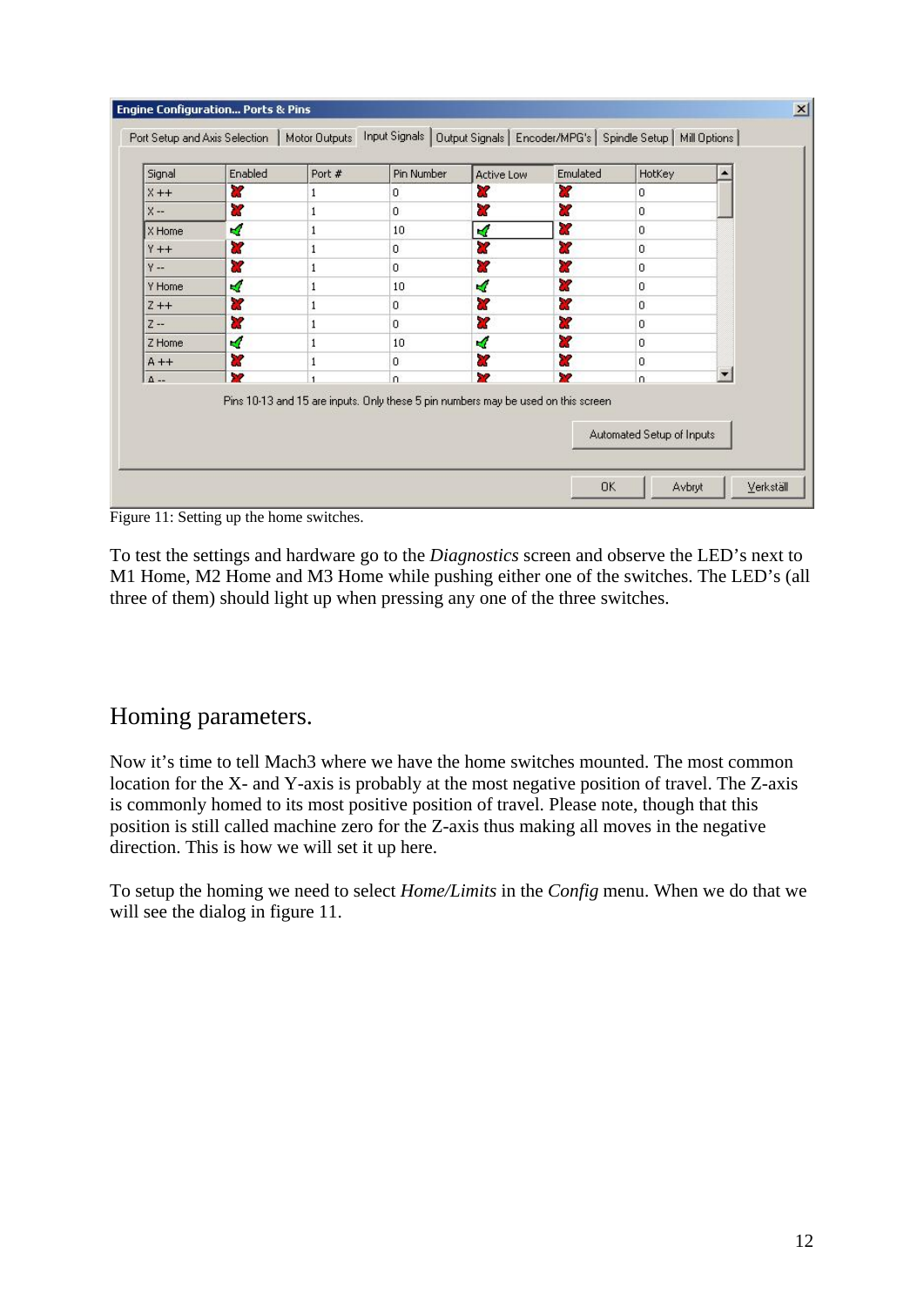| Signal      | Enabled                 | Port # | Pin Number                                                                         | <b>Active Low</b> | Emulated | HotKey                    |  |
|-------------|-------------------------|--------|------------------------------------------------------------------------------------|-------------------|----------|---------------------------|--|
| $X++$       | 87                      |        | 0                                                                                  | ď                 | ×        | 0                         |  |
| $X -$       | ×                       |        | $\Omega$                                                                           | 87                | æ        | 0                         |  |
| X Home      | ∢                       | 1      | 10                                                                                 | ×,                | x        | $\overline{0}$            |  |
| $Y++$       | æ                       | 1      | $\mathbf{0}$                                                                       | æ                 | ×        | 0                         |  |
| $Y - 1$     | $\overline{\mathbf{x}}$ | 1      | $\circ$                                                                            | ď                 | 27       | 0                         |  |
| Y Home      | ×,                      |        | 10                                                                                 | ×,                | ×        | 0                         |  |
| $Z + +$     | æ                       |        | $\mathbf{0}$                                                                       | Z                 | X        | $\mathbf{0}$              |  |
| $Z -$       | <b>a</b>                | 1      | 0                                                                                  | æ                 | ×        | 0                         |  |
| Z Home      | ø                       |        | 10                                                                                 | ×,                | ×        | 0                         |  |
| $A + +$     | ×                       | 1      | $\circ$                                                                            | 87                | æ        | 0                         |  |
| $\Delta$ -- | <b>SP</b>               |        | $\Omega$                                                                           | 52                | X2       | n.                        |  |
|             |                         |        | Pins 10-13 and 15 are inputs. Only these 5 pin numbers may be used on this screen. |                   |          | Automated Setup of Inputs |  |

Figure 11: Setting up the home switches.

To test the settings and hardware go to the *Diagnostics* screen and observe the LED's next to M1 Home, M2 Home and M3 Home while pushing either one of the switches. The LED's (all three of them) should light up when pressing any one of the three switches.

## Homing parameters.

Now it's time to tell Mach3 where we have the home switches mounted. The most common location for the X- and Y-axis is probably at the most negative position of travel. The Z-axis is commonly homed to its most positive position of travel. Please note, though that this position is still called machine zero for the Z-axis thus making all moves in the negative direction. This is how we will set it up here.

To setup the homing we need to select *Home/Limits* in the *Config* menu. When we do that we will see the dialog in figure 11.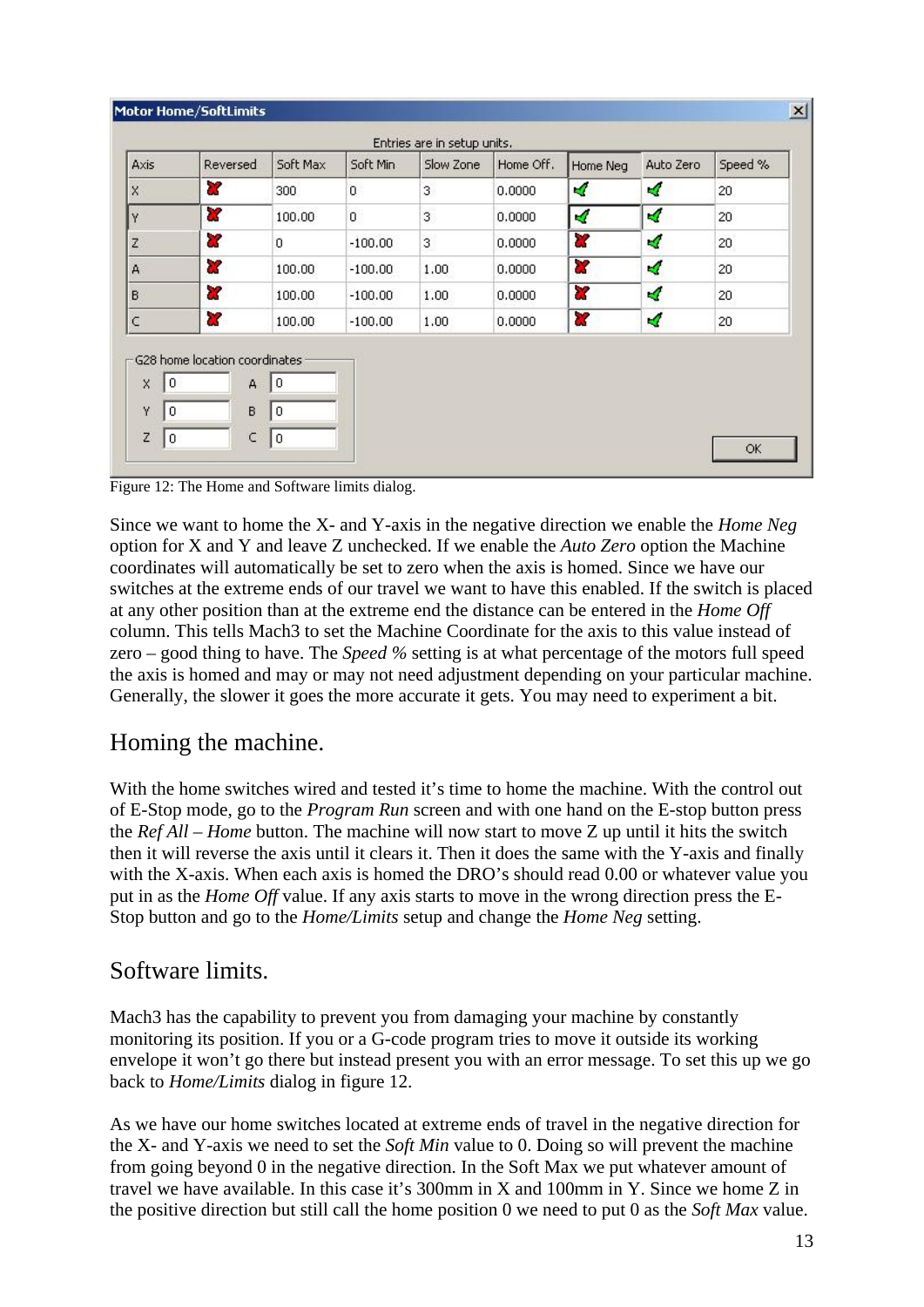| Axis                    | Reversed                | Soft Max    | Soft Min     | Slow Zone | Home Off. | Home Neg | Auto Zero | Speed %         |
|-------------------------|-------------------------|-------------|--------------|-----------|-----------|----------|-----------|-----------------|
| $\overline{\mathsf{x}}$ | X                       | 300         | $\mathbf{0}$ | 3         | 0.0000    | 4        | ×,        | 20 <sub>2</sub> |
| Y                       | $\overline{\mathbf{x}}$ | 100.00      | $\sigma$     | 3         | 0.0000    | ×,       | ø         | 20              |
| Z                       | a,                      | $\mathbf 0$ | $-100.00$    | 3         | 0.0000    | X        | 4         | 20 <sub>1</sub> |
| A                       | X                       | 100.00      | $-100.00$    | 1.00      | 0.0000    | X        | ×,        | 20              |
| B                       | X                       | 100.00      | $-100.00$    | 1.00      | 0.0000    | 87       | ×,        | 20              |
| $\subset$               | a.                      | 100.00      | $-100,00$    | 1.00      | 0.0000    | $\alpha$ | ×,        | 20              |

Figure 12: The Home and Software limits dialog.

Since we want to home the X- and Y-axis in the negative direction we enable the *Home Neg* option for X and Y and leave Z unchecked. If we enable the *Auto Zero* option the Machine coordinates will automatically be set to zero when the axis is homed. Since we have our switches at the extreme ends of our travel we want to have this enabled. If the switch is placed at any other position than at the extreme end the distance can be entered in the *Home Off* column. This tells Mach3 to set the Machine Coordinate for the axis to this value instead of zero – good thing to have. The *Speed %* setting is at what percentage of the motors full speed the axis is homed and may or may not need adjustment depending on your particular machine. Generally, the slower it goes the more accurate it gets. You may need to experiment a bit.

## Homing the machine.

With the home switches wired and tested it's time to home the machine. With the control out of E-Stop mode, go to the *Program Run* screen and with one hand on the E-stop button press the *Ref All – Home* button. The machine will now start to move Z up until it hits the switch then it will reverse the axis until it clears it. Then it does the same with the Y-axis and finally with the X-axis. When each axis is homed the DRO's should read 0.00 or whatever value you put in as the *Home Off* value. If any axis starts to move in the wrong direction press the E-Stop button and go to the *Home/Limits* setup and change the *Home Neg* setting.

## Software limits.

Mach3 has the capability to prevent you from damaging your machine by constantly monitoring its position. If you or a G-code program tries to move it outside its working envelope it won't go there but instead present you with an error message. To set this up we go back to *Home/Limits* dialog in figure 12.

As we have our home switches located at extreme ends of travel in the negative direction for the X- and Y-axis we need to set the *Soft Min* value to 0. Doing so will prevent the machine from going beyond 0 in the negative direction. In the Soft Max we put whatever amount of travel we have available. In this case it's 300mm in X and 100mm in Y. Since we home Z in the positive direction but still call the home position 0 we need to put 0 as the *Soft Max* value.